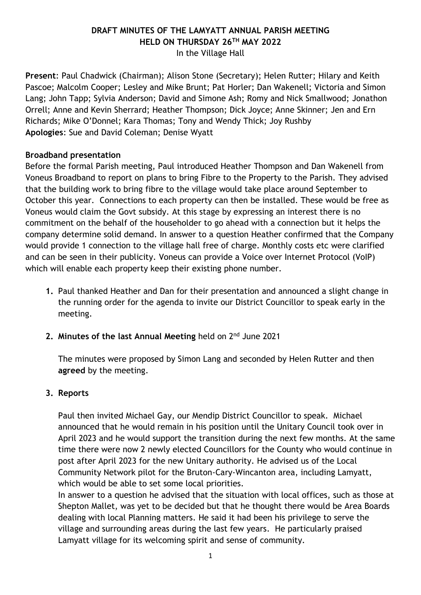## **DRAFT MINUTES OF THE LAMYATT ANNUAL PARISH MEETING HELD ON THURSDAY 26TH MAY 2022** In the Village Hall

**Present**: Paul Chadwick (Chairman); Alison Stone (Secretary); Helen Rutter; Hilary and Keith Pascoe; Malcolm Cooper; Lesley and Mike Brunt; Pat Horler; Dan Wakenell; Victoria and Simon Lang; John Tapp; Sylvia Anderson; David and Simone Ash; Romy and Nick Smallwood; Jonathon Orrell; Anne and Kevin Sherrard; Heather Thompson; Dick Joyce; Anne Skinner; Jen and Ern Richards; Mike O'Donnel; Kara Thomas; Tony and Wendy Thick; Joy Rushby **Apologies**: Sue and David Coleman; Denise Wyatt

## **Broadband presentation**

Before the formal Parish meeting, Paul introduced Heather Thompson and Dan Wakenell from Voneus Broadband to report on plans to bring Fibre to the Property to the Parish. They advised that the building work to bring fibre to the village would take place around September to October this year. Connections to each property can then be installed. These would be free as Voneus would claim the Govt subsidy. At this stage by expressing an interest there is no commitment on the behalf of the householder to go ahead with a connection but it helps the company determine solid demand. In answer to a question Heather confirmed that the Company would provide 1 connection to the village hall free of charge. Monthly costs etc were clarified and can be seen in their publicity. Voneus can provide a Voice over Internet Protocol (VoIP) which will enable each property keep their existing phone number.

- **1.** Paul thanked Heather and Dan for their presentation and announced a slight change in the running order for the agenda to invite our District Councillor to speak early in the meeting.
- **2. Minutes of the last Annual Meeting** held on 2nd June 2021

The minutes were proposed by Simon Lang and seconded by Helen Rutter and then **agreed** by the meeting.

## **3. Reports**

Paul then invited Michael Gay, our Mendip District Councillor to speak. Michael announced that he would remain in his position until the Unitary Council took over in April 2023 and he would support the transition during the next few months. At the same time there were now 2 newly elected Councillors for the County who would continue in post after April 2023 for the new Unitary authority. He advised us of the Local Community Network pilot for the Bruton-Cary-Wincanton area, including Lamyatt, which would be able to set some local priorities.

In answer to a question he advised that the situation with local offices, such as those at Shepton Mallet, was yet to be decided but that he thought there would be Area Boards dealing with local Planning matters. He said it had been his privilege to serve the village and surrounding areas during the last few years. He particularly praised Lamyatt village for its welcoming spirit and sense of community.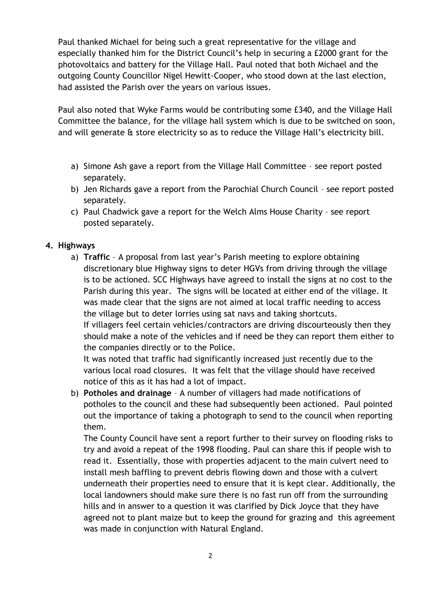Paul thanked Michael for being such a great representative for the village and especially thanked him for the District Council's help in securing a £2000 grant for the photovoltaics and battery for the Village Hall. Paul noted that both Michael and the outgoing County Councillor Nigel Hewitt-Cooper, who stood down at the last election, had assisted the Parish over the years on various issues.

Paul also noted that Wyke Farms would be contributing some £340, and the Village Hall Committee the balance, for the village hall system which is due to be switched on soon, and will generate & store electricity so as to reduce the Village Hall's electricity bill.

- a) Simone Ash gave a report from the Village Hall Committee see report posted separately.
- b) Jen Richards gave a report from the Parochial Church Council see report posted separately.
- c) Paul Chadwick gave a report for the Welch Alms House Charity see report posted separately.

## **4. Highways**

a) **Traffic** – A proposal from last year's Parish meeting to explore obtaining discretionary blue Highway signs to deter HGVs from driving through the village is to be actioned. SCC Highways have agreed to install the signs at no cost to the Parish during this year. The signs will be located at either end of the village. It was made clear that the signs are not aimed at local traffic needing to access the village but to deter lorries using sat navs and taking shortcuts. If villagers feel certain vehicles/contractors are driving discourteously then they should make a note of the vehicles and if need be they can report them either to the companies directly or to the Police.

It was noted that traffic had significantly increased just recently due to the various local road closures. It was felt that the village should have received notice of this as it has had a lot of impact.

b) **Potholes and drainage** – A number of villagers had made notifications of potholes to the council and these had subsequently been actioned. Paul pointed out the importance of taking a photograph to send to the council when reporting them.

The County Council have sent a report further to their survey on flooding risks to try and avoid a repeat of the 1998 flooding. Paul can share this if people wish to read it. Essentially, those with properties adjacent to the main culvert need to install mesh baffling to prevent debris flowing down and those with a culvert underneath their properties need to ensure that it is kept clear. Additionally, the local landowners should make sure there is no fast run off from the surrounding hills and in answer to a question it was clarified by Dick Joyce that they have agreed not to plant maize but to keep the ground for grazing and this agreement was made in conjunction with Natural England.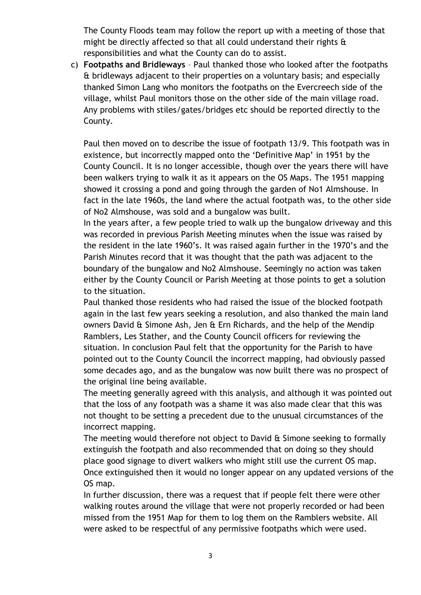The County Floods team may follow the report up with a meeting of those that might be directly affected so that all could understand their rights & responsibilities and what the County can do to assist.

c) **Footpaths and Bridleways** – Paul thanked those who looked after the footpaths & bridleways adjacent to their properties on a voluntary basis; and especially thanked Simon Lang who monitors the footpaths on the Evercreech side of the village, whilst Paul monitors those on the other side of the main village road. Any problems with stiles/gates/bridges etc should be reported directly to the County.

Paul then moved on to describe the issue of footpath 13/9. This footpath was in existence, but incorrectly mapped onto the 'Definitive Map' in 1951 by the County Council. It is no longer accessible, though over the years there will have been walkers trying to walk it as it appears on the OS Maps. The 1951 mapping showed it crossing a pond and going through the garden of No1 Almshouse. In fact in the late 1960s, the land where the actual footpath was, to the other side of No2 Almshouse, was sold and a bungalow was built.

In the years after, a few people tried to walk up the bungalow driveway and this was recorded in previous Parish Meeting minutes when the issue was raised by the resident in the late 1960's. It was raised again further in the 1970's and the Parish Minutes record that it was thought that the path was adjacent to the boundary of the bungalow and No2 Almshouse. Seemingly no action was taken either by the County Council or Parish Meeting at those points to get a solution to the situation.

Paul thanked those residents who had raised the issue of the blocked footpath again in the last few years seeking a resolution, and also thanked the main land owners David & Simone Ash, Jen & Ern Richards, and the help of the Mendip Ramblers, Les Stather, and the County Council officers for reviewing the situation. In conclusion Paul felt that the opportunity for the Parish to have pointed out to the County Council the incorrect mapping, had obviously passed some decades ago, and as the bungalow was now built there was no prospect of the original line being available.

The meeting generally agreed with this analysis, and although it was pointed out that the loss of any footpath was a shame it was also made clear that this was not thought to be setting a precedent due to the unusual circumstances of the incorrect mapping.

The meeting would therefore not object to David  $\alpha$  Simone seeking to formally extinguish the footpath and also recommended that on doing so they should place good signage to divert walkers who might still use the current OS map. Once extinguished then it would no longer appear on any updated versions of the OS map.

In further discussion, there was a request that if people felt there were other walking routes around the village that were not properly recorded or had been missed from the 1951 Map for them to log them on the Ramblers website. All were asked to be respectful of any permissive footpaths which were used.